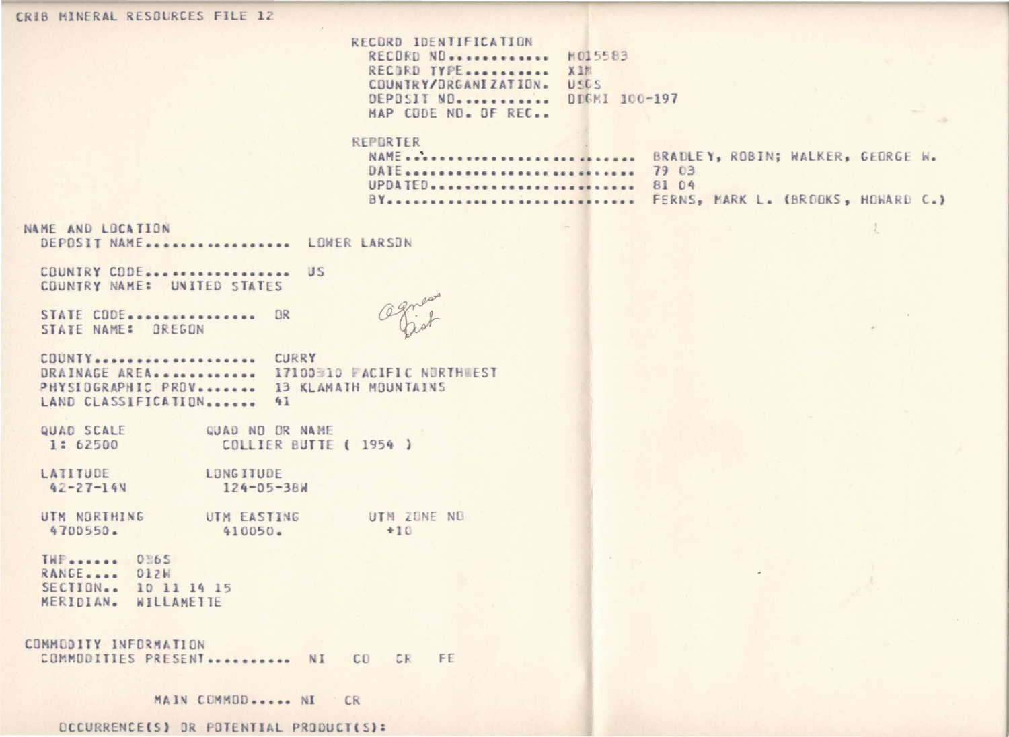| CRIB MINERAL RESOURCES FILE 12                                                                                                |                                                                                                                              |                                                |  |
|-------------------------------------------------------------------------------------------------------------------------------|------------------------------------------------------------------------------------------------------------------------------|------------------------------------------------|--|
|                                                                                                                               | RECORD IDENTIFICATION<br>RECORD NO.<br>RECORD TYPE<br>COUNTRY/ORGANIZATION.<br>DEPOSIT NO.<br>MAP CODE NO. OF REC            | M015583<br>XIM<br><b>USGS</b><br>DDGMI 100-197 |  |
|                                                                                                                               | REPORTER<br>NAME BRADLEY, ROBIN; WALKER, GEORGE W.<br>DATE  79 03<br>UPDATED  81 04<br>BY FERNS, MARK L. (BROOKS, HOWARD C.) |                                                |  |
| NAME AND LOCATION<br>DEPOSIT NAME LOWER LARSON                                                                                |                                                                                                                              |                                                |  |
| COUNTRY CODE US<br>COUNTRY NAME: UNITED STATES                                                                                |                                                                                                                              |                                                |  |
| STATE CDDE.<br>OR<br>STATE NAME: OREGON                                                                                       |                                                                                                                              |                                                |  |
| COUNTY CURRY<br>DRAINAGE AREA 17100310 FACIFIC NORTHWEST<br>PHYSIOGRAPHIC PROV 13 KLAMATH MOUNTAINS<br>LAND CLASSIFICATION 41 |                                                                                                                              |                                                |  |
| QUAD SCALE<br>QUAD NO OR NAME<br>1: 62500<br>COLLIER BUTTE ( 1954 )                                                           |                                                                                                                              |                                                |  |
| LATITUDE<br><b>LONGITUDE</b><br>$42 - 27 - 14N$<br>124-05-38W                                                                 |                                                                                                                              |                                                |  |
| UTM NORTHING<br>UTM EASTING<br>4700550.<br>410050.                                                                            | UTM ZONE NO<br>$+10$                                                                                                         |                                                |  |
| TWP 0865<br>RANGE<br>012W<br>SECTION 10 11 14 15<br>MERIDIAN. WILLAMETTE                                                      |                                                                                                                              |                                                |  |
| COMMODITY INFORMATION<br>COMMODITIES PRESENT NI CO CR FE                                                                      |                                                                                                                              |                                                |  |
| MAIN COMMOD NI<br><b>CR</b>                                                                                                   |                                                                                                                              |                                                |  |

OCCURRENCE(S) OR POTENTIAL PRODUCT(S):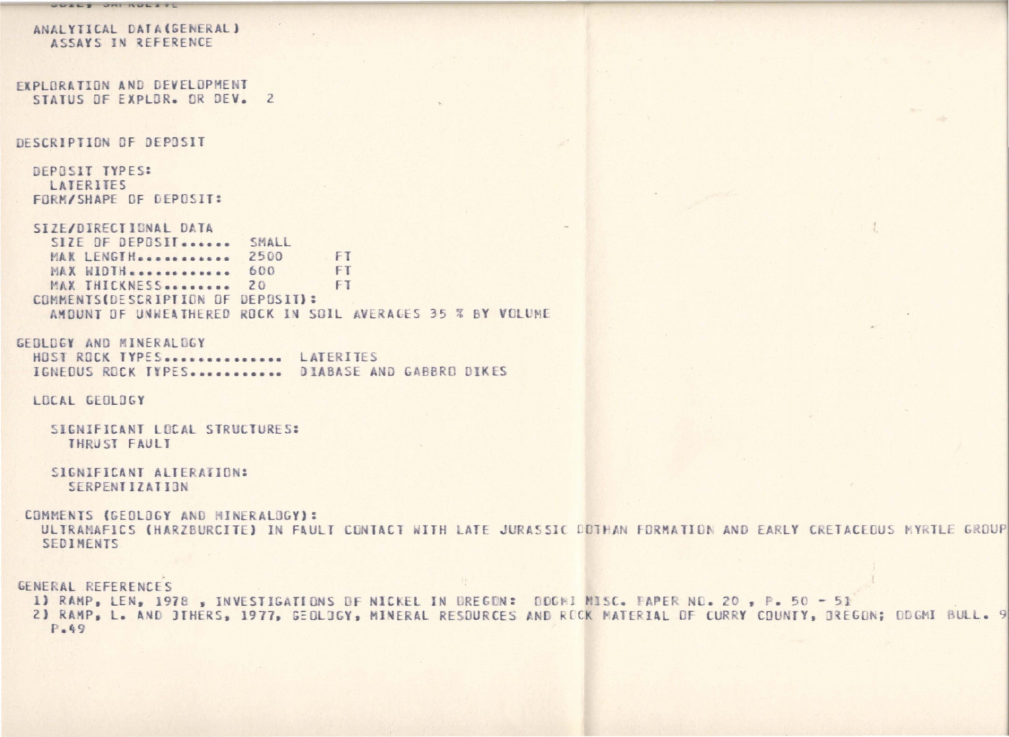```
UDELY UNI RULETL
  ANALYTICAL DATA(SENERAL)
    ASSAYS IN REFERENCE
EXPLORATION AND DEVELOPMENT
 STATUS OF EXPLOR. OR DEV. 2
DESCRIPTION OF DEPOSIT
  DEPOSIT TYPES:
   LATERITES
  FORM/SHAPE OF DEPOSIT:
  SIZE/DIRECTIONAL DATA
   SIZE OF DEPOSIT ...... SMALL
   MAK LENGTH............ 2500
                                  FT
   MAX WIDTH ............. 600
                                  FT
   MAX THICKNESS......... 20
                                   FT
  COMMENTS(DESCRIPTION OF DEPOSIT):
    AMOUNT OF UNNEATHERED ROCK IN SOIL AVERAGES 35 % BY VOLUME
GEDLOGY AND MINERALDGY
 HOST ROCK TYPES............... LATERITES
 IGNEDUS ROCK TYPES............. DIABASE AND GABBRO DIKES
 LOCAL GEOLOGY
    SIGNIFICANT LOCAL STRUCTURES:
     THRUST FAULT
    SIGNIFICANT ALTERATION:
      SERPENTIZATION
 COMMENTS (GEOLOGY AND MINERALOGY):
   ULTRAMAFICS (HARZBURCITE) IN FAULT CONTACT WITH LATE JURASSIC DOTHAN FORMATION AND EARLY CRETACEOUS MYRTLE GROUP
   SEDIMENTS
GENERAL REFERENCES
 1) RAMP, LEN, 1978, INVESTIGATIONS OF NICKEL IN OREGON: ODGHI MISC. FAPER NO. 20, P. 50 - 51
 2) RAMP, L. AND JTHERS, 1977, GEOLOGY, MINERAL RESDURCES AND ROCK MATERIAL DF CURRY COUNTY, DREGON: DDGMI BULL. 9
   P.49
```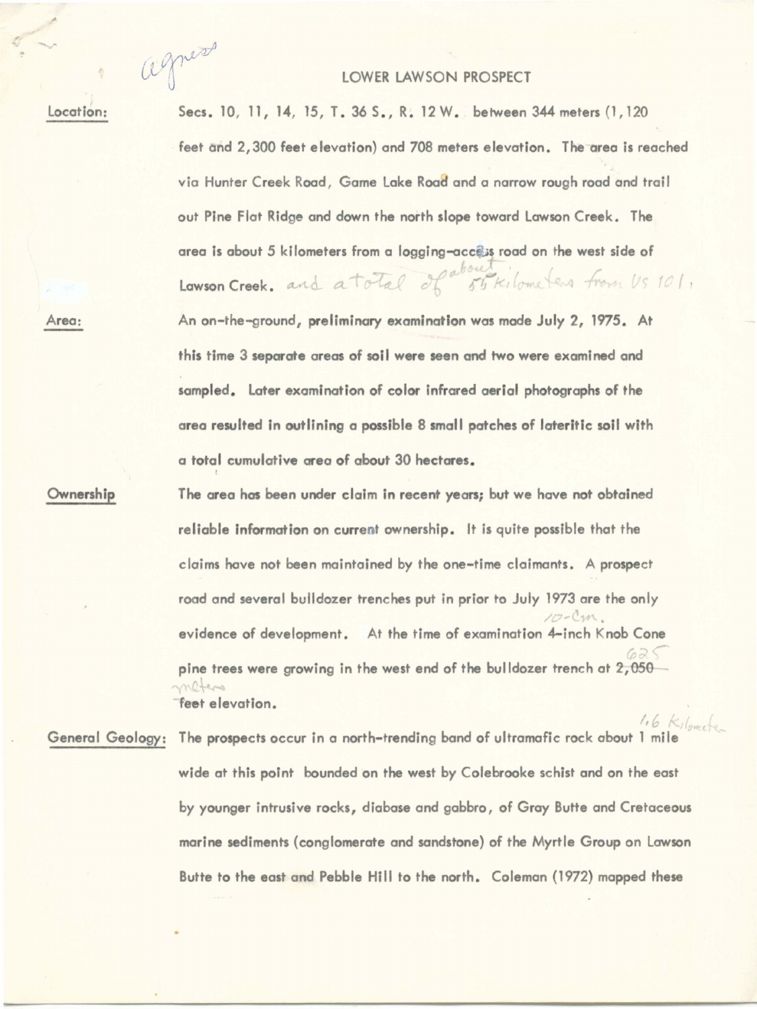agness

## LOWER LAWSON PROSPECT

location:

Secs. 10, 11, 14, 15, T. 36 S., R. 12 W. between 344 meters (1, 120) feet and 2,300 feet elevation) and 708 meters elevation. The area is reached via Hunter Creek Road , Game lake Road and a narrow rough road and trail out Pine Flat Ridge and down the north slope toward Lawson Creek. The area is about 5 kilometers from a logging-access road on the west side of Lawson Creek. and a total of 55 kilometers from Us 101, An on-the-ground, preliminary examination was made July 2, 1975. At this time 3 separate areas of soi I **were seen** and two **were** examined and sampled. Later examination of color infrared aerial photographs of the **area** resulted in outlining a possible 8 small patches of lateritic soil with a total cumulative area of about 30 hectares.

Ownership

Area:

' The area has been under claim in recent years; but we have not obtained reliable information on current ownership. It is quite possible that the claims have not been maintained by the one-time claimants. A prospect road and several bulldozer trenches put in prior to July 1973 are the only  $10 -$ Cm. evidence of development. At the time of examination 4-inch Knob Cone *r*  pine trees were growing in the west end of the bulldozer trench at  $2,050$ <br> **feet** elevation.

 $16$  Kilowshe General Geology: The **prospects** occur in a north-trending band of ultramafic rock about 1 mile wide at this point bounded on the west by Colebrooke schist and on the east by younger intrusive rocks, diabase and gabbro, of Gray Butte and Cretaceous marine sediments (conglomerate and sandstone) of the Myrtle Group on Lawson Butte to the east and Pebble Hill to the north. Colemon (1972) mapped these